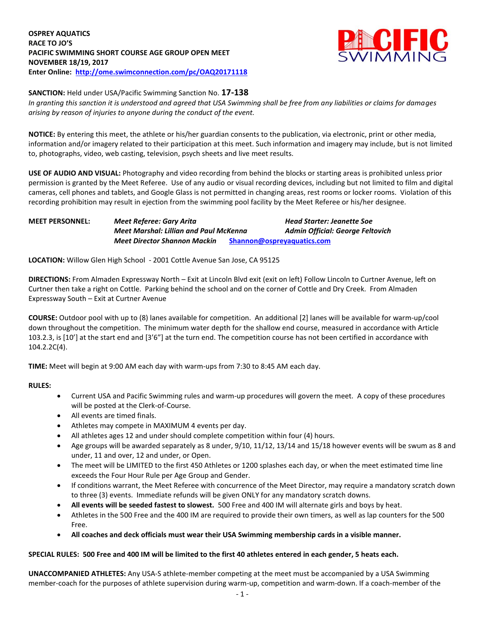

#### **SANCTION:** Held under USA/Pacific Swimming Sanction No. **17-138**

*In granting this sanction it is understood and agreed that USA Swimming shall be free from any liabilities or claims for damages arising by reason of injuries to anyone during the conduct of the event.*

**NOTICE:** By entering this meet, the athlete or his/her guardian consents to the publication, via electronic, print or other media, information and/or imagery related to their participation at this meet. Such information and imagery may include, but is not limited to, photographs, video, web casting, television, psych sheets and live meet results.

**USE OF AUDIO AND VISUAL:** Photography and video recording from behind the blocks or starting areas is prohibited unless prior permission is granted by the Meet Referee. Use of any audio or visual recording devices, including but not limited to film and digital cameras, cell phones and tablets, and Google Glass is not permitted in changing areas, rest rooms or locker rooms. Violation of this recording prohibition may result in ejection from the swimming pool facility by the Meet Referee or his/her designee.

| <b>MEET PERSONNEL:</b> | Meet Referee: Gary Arita               |                            | <b>Head Starter: Jeanette Soe</b> |
|------------------------|----------------------------------------|----------------------------|-----------------------------------|
|                        | Meet Marshal: Lillian and Paul McKenna |                            | Admin Official: George Feltovich  |
|                        | Meet Director Shannon Mackin           | Shannon@ospreyaguatics.com |                                   |

**LOCATION:** Willow Glen High School - 2001 Cottle Avenue San Jose, CA 95125

**DIRECTIONS:** From Almaden Expressway North – Exit at Lincoln Blvd exit (exit on left) Follow Lincoln to Curtner Avenue, left on Curtner then take a right on Cottle. Parking behind the school and on the corner of Cottle and Dry Creek. From Almaden Expressway South – Exit at Curtner Avenue

**COURSE:** Outdoor pool with up to (8) lanes available for competition. An additional [2] lanes will be available for warm-up/cool down throughout the competition. The minimum water depth for the shallow end course, measured in accordance with Article 103.2.3, is [10'] at the start end and [3'6"] at the turn end. The competition course has not been certified in accordance with 104.2.2C(4).

**TIME:** Meet will begin at 9:00 AM each day with warm-ups from 7:30 to 8:45 AM each day.

## **RULES:**

- Current USA and Pacific Swimming rules and warm-up procedures will govern the meet. A copy of these procedures will be posted at the Clerk-of-Course.
- All events are timed finals.
- Athletes may compete in MAXIMUM 4 events per day.
- All athletes ages 12 and under should complete competition within four (4) hours.
- Age groups will be awarded separately as 8 under, 9/10, 11/12, 13/14 and 15/18 however events will be swum as 8 and under, 11 and over, 12 and under, or Open.
- The meet will be LIMITED to the first 450 Athletes or 1200 splashes each day, or when the meet estimated time line exceeds the Four Hour Rule per Age Group and Gender.
- If conditions warrant, the Meet Referee with concurrence of the Meet Director, may require a mandatory scratch down to three (3) events. Immediate refunds will be given ONLY for any mandatory scratch downs.
- **All events will be seeded fastest to slowest.** 500 Free and 400 IM will alternate girls and boys by heat.
- Athletes in the 500 Free and the 400 IM are required to provide their own timers, as well as lap counters for the 500 Free.
- **All coaches and deck officials must wear their USA Swimming membership cards in a visible manner.**

## **SPECIAL RULES: 500 Free and 400 IM will be limited to the first 40 athletes entered in each gender, 5 heats each.**

**UNACCOMPANIED ATHLETES:** Any USA-S athlete-member competing at the meet must be accompanied by a USA Swimming member-coach for the purposes of athlete supervision during warm-up, competition and warm-down. If a coach-member of the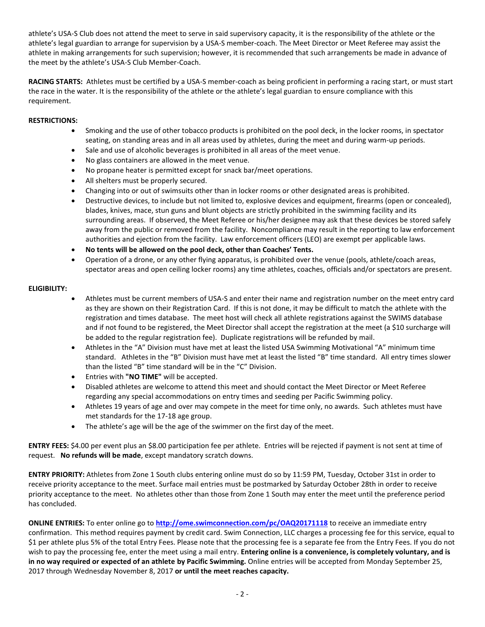athlete's USA-S Club does not attend the meet to serve in said supervisory capacity, it is the responsibility of the athlete or the athlete's legal guardian to arrange for supervision by a USA-S member-coach. The Meet Director or Meet Referee may assist the athlete in making arrangements for such supervision; however, it is recommended that such arrangements be made in advance of the meet by the athlete's USA-S Club Member-Coach.

**RACING STARTS:** Athletes must be certified by a USA-S member-coach as being proficient in performing a racing start, or must start the race in the water. It is the responsibility of the athlete or the athlete's legal guardian to ensure compliance with this requirement.

## **RESTRICTIONS:**

- Smoking and the use of other tobacco products is prohibited on the pool deck, in the locker rooms, in spectator seating, on standing areas and in all areas used by athletes, during the meet and during warm-up periods.
- Sale and use of alcoholic beverages is prohibited in all areas of the meet venue.
- No glass containers are allowed in the meet venue.
- No propane heater is permitted except for snack bar/meet operations.
- All shelters must be properly secured.
- Changing into or out of swimsuits other than in locker rooms or other designated areas is prohibited.
- Destructive devices, to include but not limited to, explosive devices and equipment, firearms (open or concealed), blades, knives, mace, stun guns and blunt objects are strictly prohibited in the swimming facility and its surrounding areas. If observed, the Meet Referee or his/her designee may ask that these devices be stored safely away from the public or removed from the facility. Noncompliance may result in the reporting to law enforcement authorities and ejection from the facility. Law enforcement officers (LEO) are exempt per applicable laws.
- **No tents will be allowed on the pool deck, other than Coaches' Tents.**
- Operation of a drone, or any other flying apparatus, is prohibited over the venue (pools, athlete/coach areas, spectator areas and open ceiling locker rooms) any time athletes, coaches, officials and/or spectators are present.

### **ELIGIBILITY:**

- Athletes must be current members of USA-S and enter their name and registration number on the meet entry card as they are shown on their Registration Card. If this is not done, it may be difficult to match the athlete with the registration and times database. The meet host will check all athlete registrations against the SWIMS database and if not found to be registered, the Meet Director shall accept the registration at the meet (a \$10 surcharge will be added to the regular registration fee). Duplicate registrations will be refunded by mail.
- Athletes in the "A" Division must have met at least the listed USA Swimming Motivational "A" minimum time standard. Athletes in the "B" Division must have met at least the listed "B" time standard. All entry times slower than the listed "B" time standard will be in the "C" Division.
- Entries with **"NO TIME"** will be accepted.
- Disabled athletes are welcome to attend this meet and should contact the Meet Director or Meet Referee regarding any special accommodations on entry times and seeding per Pacific Swimming policy.
- Athletes 19 years of age and over may compete in the meet for time only, no awards. Such athletes must have met standards for the 17-18 age group.
- The athlete's age will be the age of the swimmer on the first day of the meet.

**ENTRY FEES:** \$4.00 per event plus an \$8.00 participation fee per athlete. Entries will be rejected if payment is not sent at time of request. **No refunds will be made**, except mandatory scratch downs.

**ENTRY PRIORITY:** Athletes from Zone 1 South clubs entering online must do so by 11:59 PM, Tuesday, October 31st in order to receive priority acceptance to the meet. Surface mail entries must be postmarked by Saturday October 28th in order to receive priority acceptance to the meet. No athletes other than those from Zone 1 South may enter the meet until the preference period has concluded.

**ONLINE ENTRIES:** To enter online go to **<http://ome.swimconnection.com/pc/OAQ20171118>** to receive an immediate entry confirmation. This method requires payment by credit card. Swim Connection, LLC charges a processing fee for this service, equal to \$1 per athlete plus 5% of the total Entry Fees. Please note that the processing fee is a separate fee from the Entry Fees. If you do not wish to pay the processing fee, enter the meet using a mail entry. **Entering online is a convenience, is completely voluntary, and is in no way required or expected of an athlete by Pacific Swimming.** Online entries will be accepted from Monday September 25, 2017 through Wednesday November 8, 2017 **or until the meet reaches capacity.**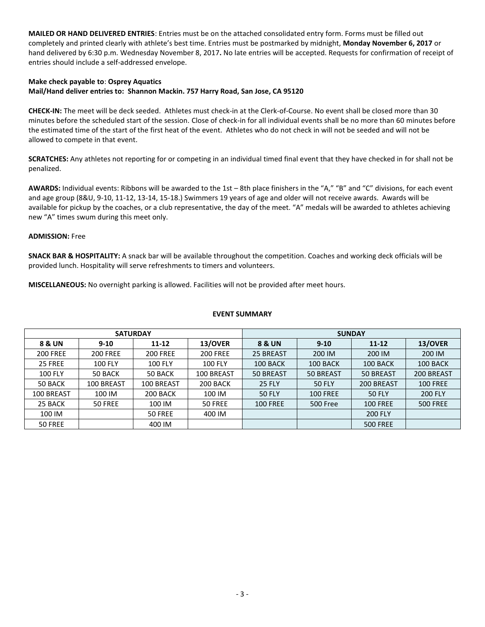**MAILED OR HAND DELIVERED ENTRIES**: Entries must be on the attached consolidated entry form. Forms must be filled out completely and printed clearly with athlete's best time. Entries must be postmarked by midnight, **Monday November 6, 2017** or hand delivered by 6:30 p.m. Wednesday November 8, 2017**.** No late entries will be accepted. Requests for confirmation of receipt of entries should include a self-addressed envelope.

# **Make check payable to**: **Osprey Aquatics Mail/Hand deliver entries to: Shannon Mackin. 757 Harry Road, San Jose, CA 95120**

**CHECK-IN:** The meet will be deck seeded. Athletes must check-in at the Clerk-of-Course. No event shall be closed more than 30 minutes before the scheduled start of the session. Close of check-in for all individual events shall be no more than 60 minutes before the estimated time of the start of the first heat of the event. Athletes who do not check in will not be seeded and will not be allowed to compete in that event.

**SCRATCHES:** Any athletes not reporting for or competing in an individual timed final event that they have checked in for shall not be penalized.

**AWARDS:** Individual events: Ribbons will be awarded to the 1st – 8th place finishers in the "A," "B" and "C" divisions, for each event and age group (8&U, 9-10, 11-12, 13-14, 15-18.) Swimmers 19 years of age and older will not receive awards. Awards will be available for pickup by the coaches, or a club representative, the day of the meet. "A" medals will be awarded to athletes achieving new "A" times swum during this meet only.

## **ADMISSION:** Free

**SNACK BAR & HOSPITALITY:** A snack bar will be available throughout the competition. Coaches and working deck officials will be provided lunch. Hospitality will serve refreshments to timers and volunteers.

**MISCELLANEOUS:** No overnight parking is allowed. Facilities will not be provided after meet hours.

### **EVENT SUMMARY**

|                   | <b>SATURDAY</b> |                   |                 | <b>SUNDAY</b>     |                 |                 |                 |  |  |
|-------------------|-----------------|-------------------|-----------------|-------------------|-----------------|-----------------|-----------------|--|--|
| 8 & UN            | $9 - 10$        | $11 - 12$         | 13/OVER         | <b>8 &amp; UN</b> | $9 - 10$        | $11 - 12$       | 13/OVER         |  |  |
| <b>200 FREE</b>   | <b>200 FREE</b> | <b>200 FREE</b>   | <b>200 FREE</b> | 25 BREAST         | 200 IM          | 200 IM          | 200 IM          |  |  |
| 25 FREE           | <b>100 FLY</b>  | <b>100 FLY</b>    | <b>100 FLY</b>  | 100 BACK          | 100 BACK        | 100 BACK        | 100 BACK        |  |  |
| <b>100 FLY</b>    | 50 BACK         | 50 BACK           | 100 BREAST      | 50 BREAST         | 50 BREAST       | 50 BREAST       | 200 BREAST      |  |  |
| 50 BACK           | 100 BREAST      | <b>100 BREAST</b> | 200 BACK        | <b>25 FLY</b>     | <b>50 FLY</b>   | 200 BREAST      | <b>100 FREE</b> |  |  |
| <b>100 BREAST</b> | 100 IM          | 200 BACK          | 100 IM          | <b>50 FLY</b>     | <b>100 FREE</b> | 50 FLY          | <b>200 FLY</b>  |  |  |
| 25 BACK           | 50 FREE         | 100 IM            | 50 FREE         | <b>100 FREE</b>   | 500 Free        | <b>100 FREE</b> | <b>500 FREE</b> |  |  |
| 100 IM            |                 | 50 FREE           | 400 IM          |                   |                 | <b>200 FLY</b>  |                 |  |  |
| 50 FREE           |                 | 400 IM            |                 |                   |                 | <b>500 FREE</b> |                 |  |  |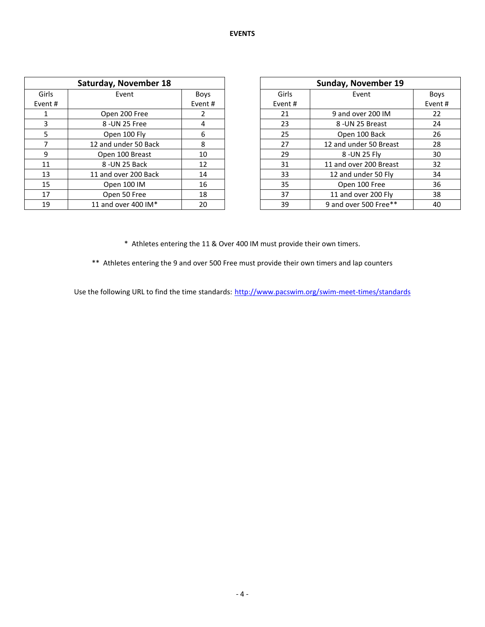|                | Saturday, November 18 |        |        | Sunday, November 19    |  |  |
|----------------|-----------------------|--------|--------|------------------------|--|--|
| Girls<br>Event |                       | Boys   | Girls  | Event                  |  |  |
| Event #        |                       | Event# | Event# |                        |  |  |
|                | Open 200 Free         |        | 21     | 9 and over 200 IM      |  |  |
| 3              | 8 - UN 25 Free        | 4      | 23     | 8 - UN 25 Breast       |  |  |
| 5.             | Open 100 Fly          | 6      | 25     | Open 100 Back          |  |  |
|                | 12 and under 50 Back  | 8      | 27     | 12 and under 50 Breast |  |  |
| 9              | Open 100 Breast       | 10     | 29     | 8 - UN 25 Flv          |  |  |
| 11             | 8-UN 25 Back          | 12     | 31     | 11 and over 200 Breast |  |  |
| 13             | 11 and over 200 Back  | 14     | 33     | 12 and under 50 Fly    |  |  |
| 15             | Open 100 IM           | 16     | 35     | Open 100 Free          |  |  |
| 17             | Open 50 Free          | 18     | 37     | 11 and over 200 Fly    |  |  |
| 19             | 11 and over 400 IM*   | 20     | 39     | 9 and over 500 Free**  |  |  |

| <b>Sunday, November 19</b> |                        |             |  |  |  |  |  |
|----------------------------|------------------------|-------------|--|--|--|--|--|
| Girls                      | Event                  | <b>Boys</b> |  |  |  |  |  |
| Event #                    |                        | Event#      |  |  |  |  |  |
| 21                         | 9 and over 200 IM      | 22          |  |  |  |  |  |
| 23                         | 8 - UN 25 Breast       | 24          |  |  |  |  |  |
| 25                         | Open 100 Back          | 26          |  |  |  |  |  |
| 27                         | 12 and under 50 Breast | 28          |  |  |  |  |  |
| 29                         | 8 - UN 25 Fly          | 30          |  |  |  |  |  |
| 31                         | 11 and over 200 Breast | 32          |  |  |  |  |  |
| 33                         | 12 and under 50 Fly    | 34          |  |  |  |  |  |
| 35                         | Open 100 Free          | 36          |  |  |  |  |  |
| 37                         | 11 and over 200 Fly    | 38          |  |  |  |  |  |
| 39                         | 9 and over 500 Free**  | 40          |  |  |  |  |  |

\* Athletes entering the 11 & Over 400 IM must provide their own timers.

\*\* Athletes entering the 9 and over 500 Free must provide their own timers and lap counters

Use the following URL to find the time standards: <http://www.pacswim.org/swim-meet-times/standards>